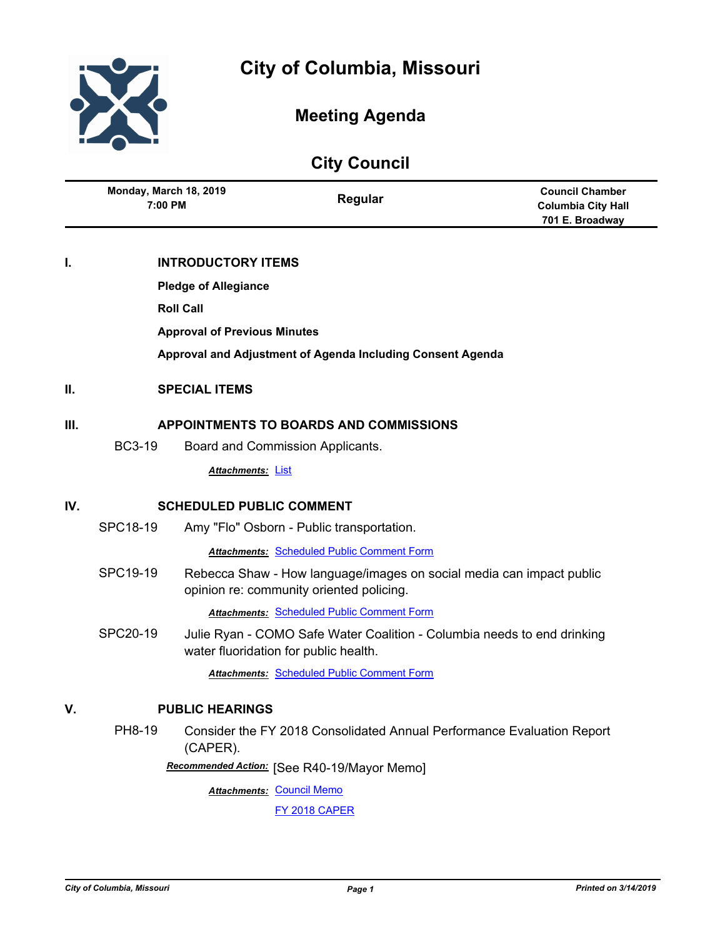

# **Meeting Agenda**

| <b>City Council</b> |                                        |                                     |                                                                                                                  |                                                                        |
|---------------------|----------------------------------------|-------------------------------------|------------------------------------------------------------------------------------------------------------------|------------------------------------------------------------------------|
|                     | Monday, March 18, 2019<br>7:00 PM      |                                     | Regular                                                                                                          | <b>Council Chamber</b><br><b>Columbia City Hall</b><br>701 E. Broadway |
| I.                  |                                        | <b>INTRODUCTORY ITEMS</b>           |                                                                                                                  |                                                                        |
|                     |                                        | <b>Pledge of Allegiance</b>         |                                                                                                                  |                                                                        |
|                     |                                        | <b>Roll Call</b>                    |                                                                                                                  |                                                                        |
|                     |                                        | <b>Approval of Previous Minutes</b> |                                                                                                                  |                                                                        |
|                     |                                        |                                     | Approval and Adjustment of Agenda Including Consent Agenda                                                       |                                                                        |
| II.                 | <b>SPECIAL ITEMS</b>                   |                                     |                                                                                                                  |                                                                        |
| Ш.                  | APPOINTMENTS TO BOARDS AND COMMISSIONS |                                     |                                                                                                                  |                                                                        |
|                     | <b>BC3-19</b>                          |                                     | Board and Commission Applicants.                                                                                 |                                                                        |
|                     |                                        | <b>Attachments: List</b>            |                                                                                                                  |                                                                        |
| IV.                 | <b>SCHEDULED PUBLIC COMMENT</b>        |                                     |                                                                                                                  |                                                                        |
|                     | SPC18-19                               |                                     | Amy "Flo" Osborn - Public transportation.                                                                        |                                                                        |
|                     |                                        |                                     | <b>Attachments: Scheduled Public Comment Form</b>                                                                |                                                                        |
|                     | SPC19-19                               |                                     | Rebecca Shaw - How language/images on social media can impact public<br>opinion re: community oriented policing. |                                                                        |
|                     |                                        |                                     | <b>Attachments: Scheduled Public Comment Form</b>                                                                |                                                                        |
|                     | SPC20-19                               |                                     | Julie Ryan - COMO Safe Water Coalition - Columbia needs to end drinking<br>water fluoridation for public health. |                                                                        |
|                     |                                        |                                     | <b>Attachments: Scheduled Public Comment Form</b>                                                                |                                                                        |
| V.                  | <b>PUBLIC HEARINGS</b>                 |                                     |                                                                                                                  |                                                                        |
|                     | PH8-19                                 | (CAPER).                            | Consider the FY 2018 Consolidated Annual Performance Evaluation Report                                           |                                                                        |
|                     |                                        |                                     | Recommended Action: [See R40-19/Mayor Memo]                                                                      |                                                                        |
|                     |                                        | <b>Attachments: Council Memo</b>    |                                                                                                                  |                                                                        |
|                     |                                        |                                     | FY 2018 CAPER                                                                                                    |                                                                        |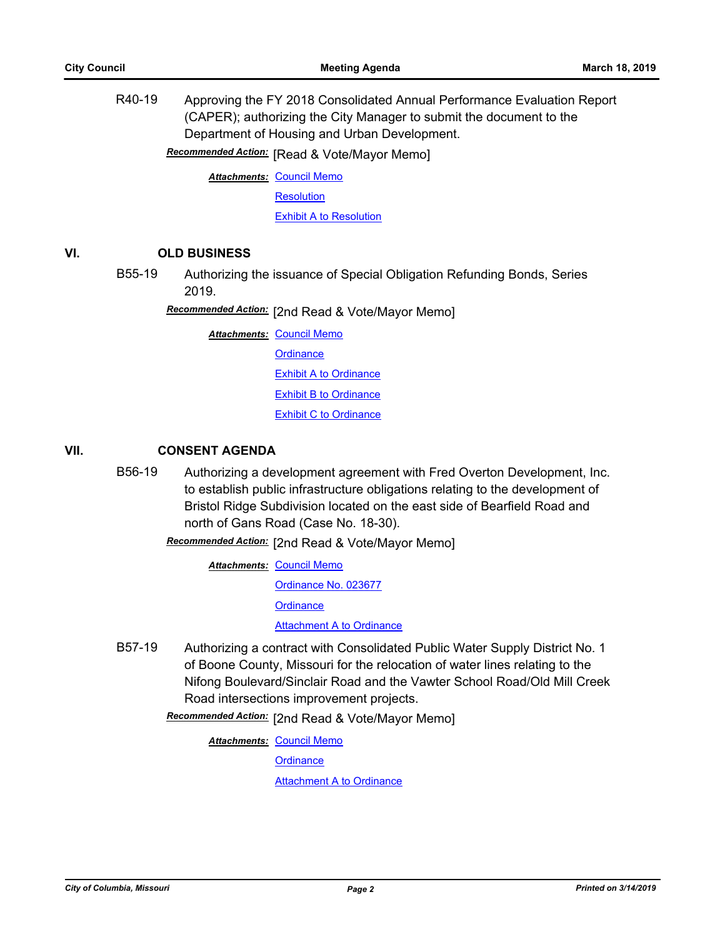R40-19 Approving the FY 2018 Consolidated Annual Performance Evaluation Report (CAPER); authorizing the City Manager to submit the document to the Department of Housing and Urban Development.

**Recommended Action:** [Read & Vote/Mayor Memo]

**Attachments: [Council Memo](http://gocolumbiamo.legistar.com/gateway.aspx?M=F&ID=0ae1e6f0-3c5b-45ad-ab13-9027279f7fd1.docx)** 

**[Resolution](http://gocolumbiamo.legistar.com/gateway.aspx?M=F&ID=d1b0c0f4-3e9c-4fe0-a0b5-e548f5a59c2a.doc)** 

[Exhibit A to Resolution](http://gocolumbiamo.legistar.com/gateway.aspx?M=F&ID=e772f95f-5369-4747-8bdd-691c7af36b47.pdf)

# **VI. OLD BUSINESS**

B55-19 Authorizing the issuance of Special Obligation Refunding Bonds, Series 2019.

**Recommended Action:** [2nd Read & Vote/Mayor Memo]

**Attachments: [Council Memo](http://gocolumbiamo.legistar.com/gateway.aspx?M=F&ID=68c4ff68-9f00-4bab-b9fa-949d4e2b04c7.docx) [Ordinance](http://gocolumbiamo.legistar.com/gateway.aspx?M=F&ID=82bfae74-1f79-4bc1-b085-f85db6661028.doc)** [Exhibit A to Ordinance](http://gocolumbiamo.legistar.com/gateway.aspx?M=F&ID=7591cfc8-4d2a-4f2a-9012-5e67b480e82a.pdf) [Exhibit B to Ordinance](http://gocolumbiamo.legistar.com/gateway.aspx?M=F&ID=008a5168-1971-4ac5-b968-ef36587ac39c.pdf) [Exhibit C to Ordinance](http://gocolumbiamo.legistar.com/gateway.aspx?M=F&ID=2746609f-aa9a-4594-b11b-5a6cb1e3d688.pdf)

# **VII. CONSENT AGENDA**

B56-19 Authorizing a development agreement with Fred Overton Development, Inc. to establish public infrastructure obligations relating to the development of Bristol Ridge Subdivision located on the east side of Bearfield Road and north of Gans Road (Case No. 18-30).

[2nd Read & Vote/Mayor Memo] *Recommended Action:*

**Attachments: [Council Memo](http://gocolumbiamo.legistar.com/gateway.aspx?M=F&ID=d1390f83-7032-4b11-888f-8f62b280546c.docx)** [Ordinance No. 023677](http://gocolumbiamo.legistar.com/gateway.aspx?M=F&ID=f1667008-d7a3-4d3d-a574-5513fde2b347.pdf) **[Ordinance](http://gocolumbiamo.legistar.com/gateway.aspx?M=F&ID=27c40d84-4621-4d4a-851f-64d7d3787ceb.doc) [Attachment A to Ordinance](http://gocolumbiamo.legistar.com/gateway.aspx?M=F&ID=1acf5ad7-0fa4-4818-b6e5-22b2dc07db65.pdf)** 

B57-19 Authorizing a contract with Consolidated Public Water Supply District No. 1 of Boone County, Missouri for the relocation of water lines relating to the Nifong Boulevard/Sinclair Road and the Vawter School Road/Old Mill Creek Road intersections improvement projects.

Recommended Action: [2nd Read & Vote/Mayor Memo]

**Attachments: [Council Memo](http://gocolumbiamo.legistar.com/gateway.aspx?M=F&ID=c4066826-874e-47e6-b7af-8187cadfc794.docx) [Ordinance](http://gocolumbiamo.legistar.com/gateway.aspx?M=F&ID=5bf81c70-9255-43ed-8fc0-a6bab9b69203.doc) [Attachment A to Ordinance](http://gocolumbiamo.legistar.com/gateway.aspx?M=F&ID=8e38cd29-9cff-46b7-8113-6e0a9bd07e78.pdf)**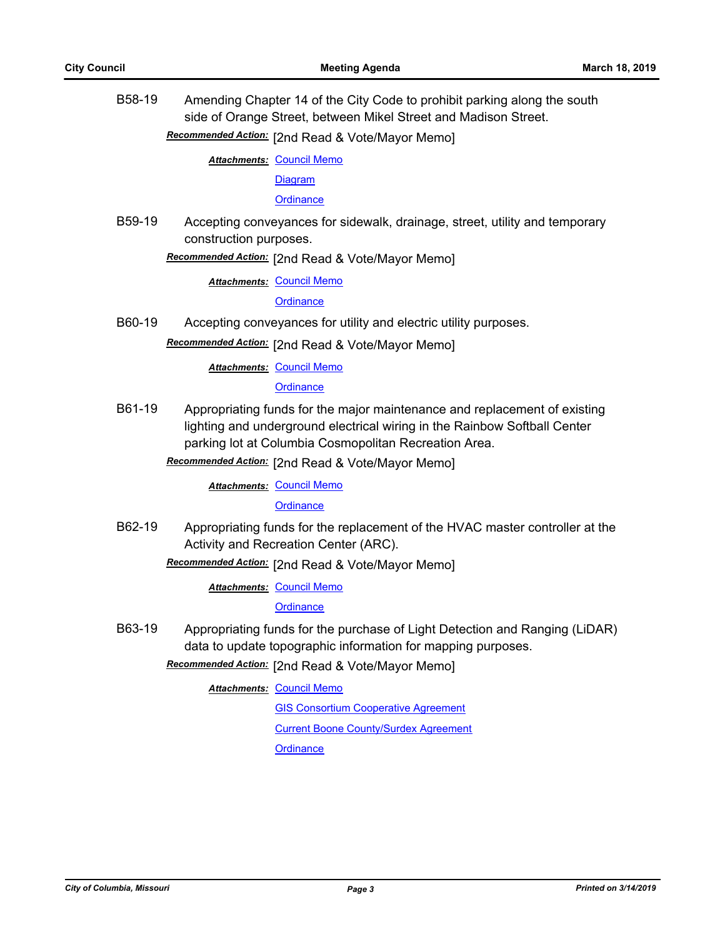B58-19 Amending Chapter 14 of the City Code to prohibit parking along the south side of Orange Street, between Mikel Street and Madison Street.

**Recommended Action:** [2nd Read & Vote/Mayor Memo]

**Attachments: [Council Memo](http://gocolumbiamo.legistar.com/gateway.aspx?M=F&ID=8167737b-7aa2-49b1-ad59-74a9ef6d1f6b.docx)** 

[Diagram](http://gocolumbiamo.legistar.com/gateway.aspx?M=F&ID=37fb94c4-f81a-489c-a490-c8d520df319f.pdf)

**[Ordinance](http://gocolumbiamo.legistar.com/gateway.aspx?M=F&ID=18553cc0-9f03-460d-94dd-150ac24f9200.doc)** 

B59-19 Accepting conveyances for sidewalk, drainage, street, utility and temporary construction purposes.

Recommended Action: [2nd Read & Vote/Mayor Memo]

**Attachments: [Council Memo](http://gocolumbiamo.legistar.com/gateway.aspx?M=F&ID=b5393bf1-ccad-4f71-a026-a7e75d23a11c.docx)** 

**[Ordinance](http://gocolumbiamo.legistar.com/gateway.aspx?M=F&ID=7b108657-7e89-43fe-b101-8efc718dfb0e.doc)** 

B60-19 Accepting conveyances for utility and electric utility purposes.

Recommended Action: [2nd Read & Vote/Mayor Memo]

**Attachments: [Council Memo](http://gocolumbiamo.legistar.com/gateway.aspx?M=F&ID=09a1ebdb-bfab-48fc-b02d-f5ab1b31b0f7.docx)** 

**[Ordinance](http://gocolumbiamo.legistar.com/gateway.aspx?M=F&ID=6f02aeed-d31b-4486-bca6-14ebd7f75d60.doc)** 

- B61-19 Appropriating funds for the major maintenance and replacement of existing lighting and underground electrical wiring in the Rainbow Softball Center parking lot at Columbia Cosmopolitan Recreation Area.
	- **Recommended Action:** [2nd Read & Vote/Mayor Memo]

**Attachments: [Council Memo](http://gocolumbiamo.legistar.com/gateway.aspx?M=F&ID=95cc3da6-d5ac-4154-9696-36e0acb04d9e.docx)** 

**[Ordinance](http://gocolumbiamo.legistar.com/gateway.aspx?M=F&ID=73ef187c-8ed1-4efc-a829-f28fbaaad906.doc)** 

B62-19 Appropriating funds for the replacement of the HVAC master controller at the Activity and Recreation Center (ARC).

Recommended Action: [2nd Read & Vote/Mayor Memo]

**Attachments: [Council Memo](http://gocolumbiamo.legistar.com/gateway.aspx?M=F&ID=f4bca6a5-116b-4251-a706-fab5695a055d.docx)** 

**[Ordinance](http://gocolumbiamo.legistar.com/gateway.aspx?M=F&ID=19d5e1a0-a6b5-4858-b1d7-fc97362c7206.doc)** 

B63-19 Appropriating funds for the purchase of Light Detection and Ranging (LiDAR) data to update topographic information for mapping purposes.

Recommended Action: [2nd Read & Vote/Mayor Memo]

**Attachments: [Council Memo](http://gocolumbiamo.legistar.com/gateway.aspx?M=F&ID=c97d977b-f1cf-4112-bdad-1bcbdcc060c6.docx)** 

**[GIS Consortium Cooperative Agreement](http://gocolumbiamo.legistar.com/gateway.aspx?M=F&ID=7c5def6f-0819-46a4-8f94-bde22e6dc4e3.pdf)** [Current Boone County/Surdex Agreement](http://gocolumbiamo.legistar.com/gateway.aspx?M=F&ID=bcb467b9-cd85-4454-a79e-799562a671c6.pdf) **[Ordinance](http://gocolumbiamo.legistar.com/gateway.aspx?M=F&ID=20fb4b8f-76e5-4616-a877-69fbf4e0b61b.doc)**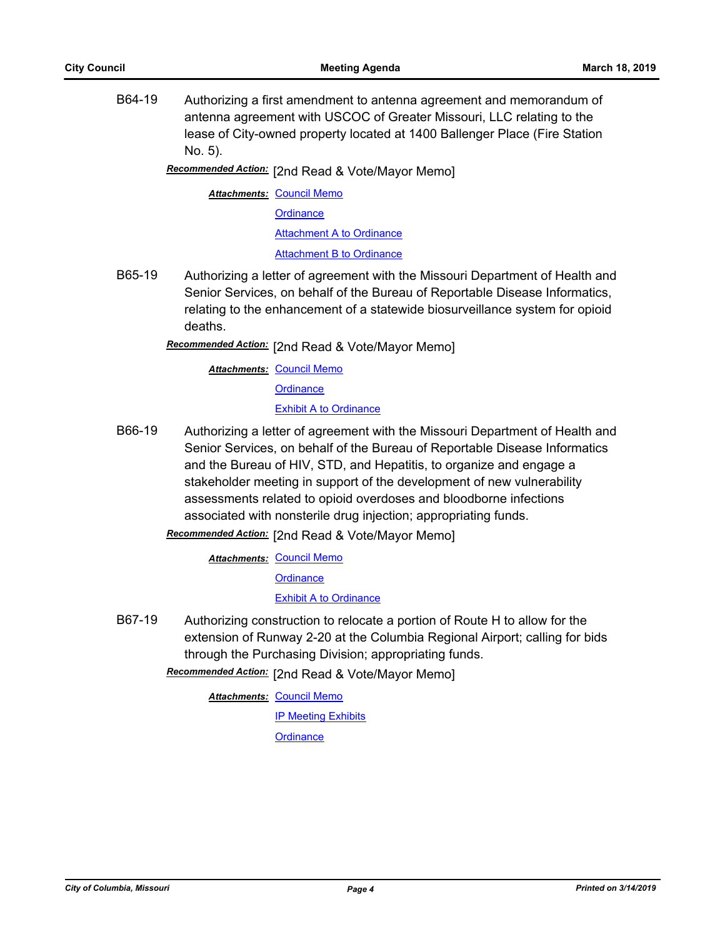B64-19 Authorizing a first amendment to antenna agreement and memorandum of antenna agreement with USCOC of Greater Missouri, LLC relating to the lease of City-owned property located at 1400 Ballenger Place (Fire Station No. 5).

Recommended Action: [2nd Read & Vote/Mayor Memo]

**Attachments: [Council Memo](http://gocolumbiamo.legistar.com/gateway.aspx?M=F&ID=9d4c3e3f-41fe-4a68-85bb-e20d5c6a2491.docx)** 

**[Ordinance](http://gocolumbiamo.legistar.com/gateway.aspx?M=F&ID=d1a23705-d4b7-41ed-b3ef-bd9a10cc7b7a.doc)** 

**[Attachment A to Ordinance](http://gocolumbiamo.legistar.com/gateway.aspx?M=F&ID=6f233eec-6480-4630-90cb-905d17e292ac.pdf)** [Attachment B to Ordinance](http://gocolumbiamo.legistar.com/gateway.aspx?M=F&ID=c513a3d6-247f-469e-b43e-e6081f96114f.pdf)

B65-19 Authorizing a letter of agreement with the Missouri Department of Health and Senior Services, on behalf of the Bureau of Reportable Disease Informatics, relating to the enhancement of a statewide biosurveillance system for opioid deaths.

Recommended Action: [2nd Read & Vote/Mayor Memo]

**Attachments: [Council Memo](http://gocolumbiamo.legistar.com/gateway.aspx?M=F&ID=35b0d235-8266-4c06-91a9-dc344d2983e5.docx) [Ordinance](http://gocolumbiamo.legistar.com/gateway.aspx?M=F&ID=db9a9491-7727-4306-acdf-ad984a209df2.doc)** [Exhibit A to Ordinance](http://gocolumbiamo.legistar.com/gateway.aspx?M=F&ID=673e63e7-4793-489f-b685-8bcb37cc0dd1.pdf)

- B66-19 Authorizing a letter of agreement with the Missouri Department of Health and Senior Services, on behalf of the Bureau of Reportable Disease Informatics and the Bureau of HIV, STD, and Hepatitis, to organize and engage a stakeholder meeting in support of the development of new vulnerability assessments related to opioid overdoses and bloodborne infections associated with nonsterile drug injection; appropriating funds.
	- **Recommended Action:** [2nd Read & Vote/Mayor Memo]

**Attachments: [Council Memo](http://gocolumbiamo.legistar.com/gateway.aspx?M=F&ID=8dd4f0c6-245c-4d57-b1b4-0213d57ebeaf.docx)** 

**[Ordinance](http://gocolumbiamo.legistar.com/gateway.aspx?M=F&ID=bf3a2f33-b02f-4de9-8ced-7e344bc8a884.doc)** 

#### **[Exhibit A to Ordinance](http://gocolumbiamo.legistar.com/gateway.aspx?M=F&ID=b27f489a-3b3b-4d37-a4ec-1ceb7bd77b1e.pdf)**

B67-19 Authorizing construction to relocate a portion of Route H to allow for the extension of Runway 2-20 at the Columbia Regional Airport; calling for bids through the Purchasing Division; appropriating funds.

[2nd Read & Vote/Mayor Memo] *Recommended Action:*

**Attachments: [Council Memo](http://gocolumbiamo.legistar.com/gateway.aspx?M=F&ID=a436252a-bb1b-4ddc-a3ea-5566570a4040.docx)** 

**[IP Meeting Exhibits](http://gocolumbiamo.legistar.com/gateway.aspx?M=F&ID=d32c06a7-19cb-48e5-9fd3-fbb83a270755.pdf)** 

**[Ordinance](http://gocolumbiamo.legistar.com/gateway.aspx?M=F&ID=93ea1bef-3755-4387-8a62-e14ddd8d2a2a.doc)**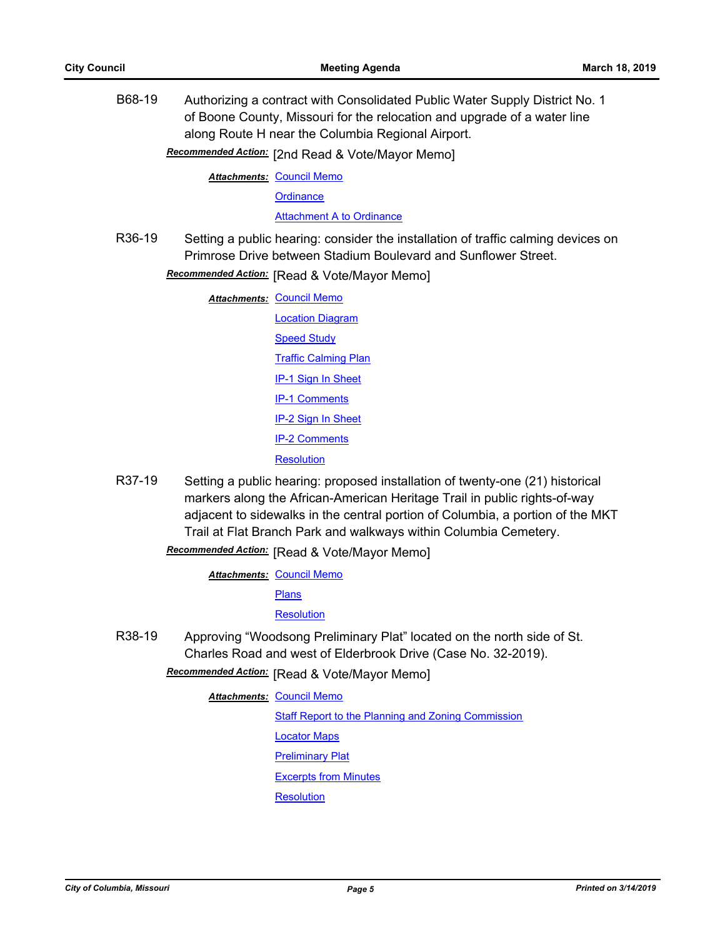B68-19 Authorizing a contract with Consolidated Public Water Supply District No. 1 of Boone County, Missouri for the relocation and upgrade of a water line along Route H near the Columbia Regional Airport.

Recommended Action: [2nd Read & Vote/Mayor Memo]

**Attachments: [Council Memo](http://gocolumbiamo.legistar.com/gateway.aspx?M=F&ID=fc43dc27-c79d-4f0b-907d-3a9b28446810.docx)** 

**[Ordinance](http://gocolumbiamo.legistar.com/gateway.aspx?M=F&ID=adff1343-65e8-4cdb-8d10-f13863d1eac0.doc)** 

[Attachment A to Ordinance](http://gocolumbiamo.legistar.com/gateway.aspx?M=F&ID=d3fc3e5a-b1e9-4fbf-b9a2-7fa5ee0b3b55.pdf)

R36-19 Setting a public hearing: consider the installation of traffic calming devices on Primrose Drive between Stadium Boulevard and Sunflower Street.

**Recommended Action:** [Read & Vote/Mayor Memo]

| <b>Attachments: Council Memo</b> |
|----------------------------------|
| <b>Location Diagram</b>          |
| <b>Speed Study</b>               |
| <b>Traffic Calming Plan</b>      |
| <b>IP-1 Sign In Sheet</b>        |
| <b>IP-1 Comments</b>             |
| <b>IP-2 Sign In Sheet</b>        |
| <b>IP-2 Comments</b>             |
| Resolution                       |

R37-19 Setting a public hearing: proposed installation of twenty-one (21) historical markers along the African-American Heritage Trail in public rights-of-way adjacent to sidewalks in the central portion of Columbia, a portion of the MKT Trail at Flat Branch Park and walkways within Columbia Cemetery.

**Recommended Action:** [Read & Vote/Mayor Memo]

**Attachments: [Council Memo](http://gocolumbiamo.legistar.com/gateway.aspx?M=F&ID=0053f3e5-2c3d-4744-93b5-fa5d588234bf.docx)** 

**[Plans](http://gocolumbiamo.legistar.com/gateway.aspx?M=F&ID=355a64f1-d7c6-478d-a54b-3cad11ef1e5c.pdf)** 

**[Resolution](http://gocolumbiamo.legistar.com/gateway.aspx?M=F&ID=83a889ea-051d-42f4-9ac6-f392882ab45b.doc)** 

R38-19 Approving "Woodsong Preliminary Plat" located on the north side of St. Charles Road and west of Elderbrook Drive (Case No. 32-2019).

**Recommended Action:** [Read & Vote/Mayor Memo]

**Attachments: [Council Memo](http://gocolumbiamo.legistar.com/gateway.aspx?M=F&ID=2e09d869-2c35-4257-a4fc-d66c2a353c0e.docx)** [Staff Report to the Planning and Zoning Commission](http://gocolumbiamo.legistar.com/gateway.aspx?M=F&ID=18630ee5-2291-4597-9301-a34bf0e5e5ea.docx) [Locator Maps](http://gocolumbiamo.legistar.com/gateway.aspx?M=F&ID=fef89d2d-2e7d-46fe-9ef4-962a8ee446de.pdf) [Preliminary Plat](http://gocolumbiamo.legistar.com/gateway.aspx?M=F&ID=eb6fb2b6-772f-43d7-9a81-fe6525ce983a.pdf) [Excerpts from Minutes](http://gocolumbiamo.legistar.com/gateway.aspx?M=F&ID=8821571e-6b38-4018-888d-0cb31e37ba51.docx)

**[Resolution](http://gocolumbiamo.legistar.com/gateway.aspx?M=F&ID=3c77cccf-ccdc-4d92-851c-5963c7139142.doc)**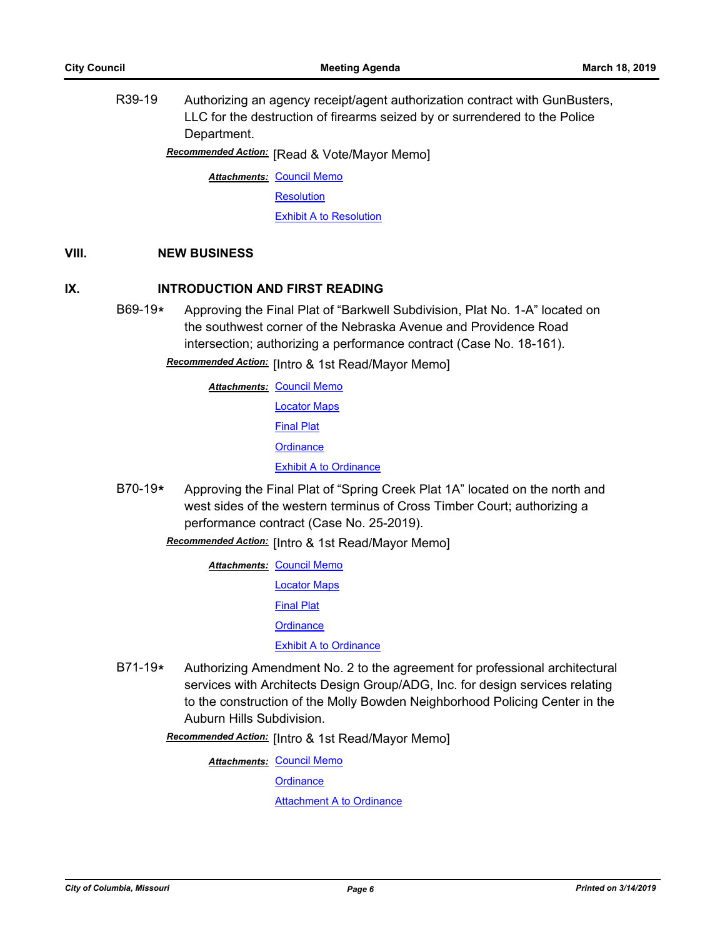R39-19 Authorizing an agency receipt/agent authorization contract with GunBusters, LLC for the destruction of firearms seized by or surrendered to the Police Department.

**Recommended Action:** [Read & Vote/Mayor Memo]

**Attachments: [Council Memo](http://gocolumbiamo.legistar.com/gateway.aspx?M=F&ID=7ac378bf-a09d-488d-a7c3-c0947e5777e8.docx)** 

**[Resolution](http://gocolumbiamo.legistar.com/gateway.aspx?M=F&ID=7138d276-c67c-4e1a-bd5a-b5e4e93fb116.doc)** 

[Exhibit A to Resolution](http://gocolumbiamo.legistar.com/gateway.aspx?M=F&ID=06ddad82-c493-4526-8011-6600f2fd33b2.pdf)

# **VIII. NEW BUSINESS**

# **IX. INTRODUCTION AND FIRST READING**

B69-19**\*** Approving the Final Plat of "Barkwell Subdivision, Plat No. 1-A" located on the southwest corner of the Nebraska Avenue and Providence Road intersection; authorizing a performance contract (Case No. 18-161).

Recommended Action: [Intro & 1st Read/Mayor Memo]

**Attachments: [Council Memo](http://gocolumbiamo.legistar.com/gateway.aspx?M=F&ID=b2327c88-488c-4095-9647-8aae0066eb96.docx)** [Locator Maps](http://gocolumbiamo.legistar.com/gateway.aspx?M=F&ID=26483ff6-013d-486c-baae-31250399747c.pdf) [Final Plat](http://gocolumbiamo.legistar.com/gateway.aspx?M=F&ID=a26cfe72-328a-42d6-934a-fccccab2bde8.pdf) **[Ordinance](http://gocolumbiamo.legistar.com/gateway.aspx?M=F&ID=1dcf7161-12ba-4460-8506-06c5e5a31d0d.doc)** [Exhibit A to Ordinance](http://gocolumbiamo.legistar.com/gateway.aspx?M=F&ID=e1c6f05b-d643-4012-b54a-321a4f8e9a39.pdf)

B70-19**\*** Approving the Final Plat of "Spring Creek Plat 1A" located on the north and west sides of the western terminus of Cross Timber Court; authorizing a performance contract (Case No. 25-2019).

Recommended Action: [Intro & 1st Read/Mayor Memo]

- **Attachments: [Council Memo](http://gocolumbiamo.legistar.com/gateway.aspx?M=F&ID=3650fea6-8965-4c4d-9a77-343d98184981.docx)** [Locator Maps](http://gocolumbiamo.legistar.com/gateway.aspx?M=F&ID=cffd70db-f344-4442-87b5-e222db265a91.pdf) [Final Plat](http://gocolumbiamo.legistar.com/gateway.aspx?M=F&ID=f43cf044-440d-423a-b527-d59f826453cd.pdf) **[Ordinance](http://gocolumbiamo.legistar.com/gateway.aspx?M=F&ID=f4b86ef9-aa7e-4d08-ae36-4c8fad14a929.doc)** [Exhibit A to Ordinance](http://gocolumbiamo.legistar.com/gateway.aspx?M=F&ID=e7cf682d-84d2-46bc-b24e-de20b9c112a5.pdf)
- B71-19**\*** Authorizing Amendment No. 2 to the agreement for professional architectural services with Architects Design Group/ADG, Inc. for design services relating to the construction of the Molly Bowden Neighborhood Policing Center in the Auburn Hills Subdivision.

Recommended Action: [Intro & 1st Read/Mayor Memo]

**Attachments: [Council Memo](http://gocolumbiamo.legistar.com/gateway.aspx?M=F&ID=87d17ba1-7925-421d-8ac0-9693502995f5.docx) [Ordinance](http://gocolumbiamo.legistar.com/gateway.aspx?M=F&ID=f546fd9d-e82e-4d5b-93b1-8a062f77baf8.doc) [Attachment A to Ordinance](http://gocolumbiamo.legistar.com/gateway.aspx?M=F&ID=6e44cc2a-29e2-47ae-a5ef-d1de88a10357.pdf)**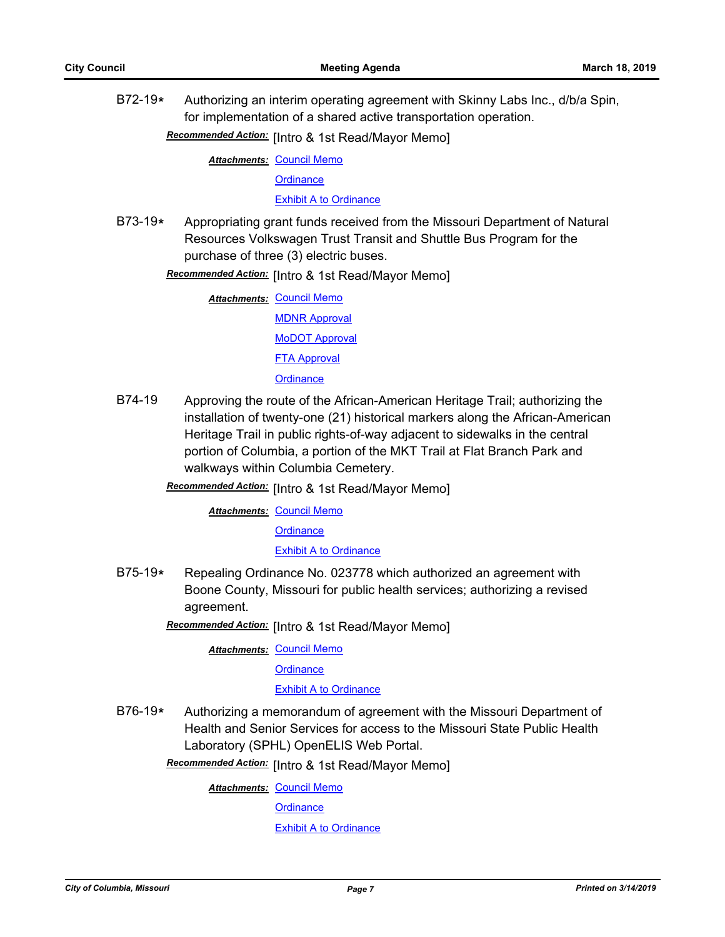B72-19**\*** Authorizing an interim operating agreement with Skinny Labs Inc., d/b/a Spin, for implementation of a shared active transportation operation.

Recommended Action: [Intro & 1st Read/Mayor Memo]

**Attachments: [Council Memo](http://gocolumbiamo.legistar.com/gateway.aspx?M=F&ID=881736dc-8080-4a21-973c-c418264d9f74.docx)** 

**[Ordinance](http://gocolumbiamo.legistar.com/gateway.aspx?M=F&ID=bcbb18e0-92f2-4750-8256-406ac153ce25.doc)** 

[Exhibit A to Ordinance](http://gocolumbiamo.legistar.com/gateway.aspx?M=F&ID=3d109958-ec06-4744-a72e-1de0cfe44404.pdf)

B73-19**\*** Appropriating grant funds received from the Missouri Department of Natural Resources Volkswagen Trust Transit and Shuttle Bus Program for the purchase of three (3) electric buses.

Recommended Action: [Intro & 1st Read/Mayor Memo]

**Attachments: [Council Memo](http://gocolumbiamo.legistar.com/gateway.aspx?M=F&ID=c057062c-dcf4-4dcc-b3e6-3d60d3849804.docx)** [MDNR Approval](http://gocolumbiamo.legistar.com/gateway.aspx?M=F&ID=f20936bb-c432-455f-b6a2-00dd86639db0.pdf) [MoDOT Approval](http://gocolumbiamo.legistar.com/gateway.aspx?M=F&ID=a3637444-7684-468a-a98c-8d5bcdf7f262.pdf) [FTA Approval](http://gocolumbiamo.legistar.com/gateway.aspx?M=F&ID=8273a455-554c-40c6-a5a0-18b283251cb6.pdf) **[Ordinance](http://gocolumbiamo.legistar.com/gateway.aspx?M=F&ID=a648e92d-b44a-43dd-ac31-fc004218ec02.doc)** 

- B74-19 Approving the route of the African-American Heritage Trail; authorizing the installation of twenty-one (21) historical markers along the African-American Heritage Trail in public rights-of-way adjacent to sidewalks in the central portion of Columbia, a portion of the MKT Trail at Flat Branch Park and walkways within Columbia Cemetery.
	- Recommended Action: [Intro & 1st Read/Mayor Memo]

**Attachments: [Council Memo](http://gocolumbiamo.legistar.com/gateway.aspx?M=F&ID=a7ab755d-849c-4cc3-80d6-86eb329710e1.docx)** 

**[Ordinance](http://gocolumbiamo.legistar.com/gateway.aspx?M=F&ID=762c69bc-7b85-44b4-a29f-b8b255016b05.doc)** 

[Exhibit A to Ordinance](http://gocolumbiamo.legistar.com/gateway.aspx?M=F&ID=888d5dec-1986-4b54-a444-cd2f9296240d.pdf)

B75-19**\*** Repealing Ordinance No. 023778 which authorized an agreement with Boone County, Missouri for public health services; authorizing a revised agreement.

Recommended Action: [Intro & 1st Read/Mayor Memo]

**Attachments: [Council Memo](http://gocolumbiamo.legistar.com/gateway.aspx?M=F&ID=3f99483a-1d9d-493b-9a9d-15e68af0e9a3.docx)** 

**[Ordinance](http://gocolumbiamo.legistar.com/gateway.aspx?M=F&ID=eadbd39b-bbf9-4dbd-8bf9-cffca864e5ff.doc)** 

#### [Exhibit A to Ordinance](http://gocolumbiamo.legistar.com/gateway.aspx?M=F&ID=09bfd13a-66f6-43ed-90fa-83336aba004a.pdf)

B76-19**\*** Authorizing a memorandum of agreement with the Missouri Department of Health and Senior Services for access to the Missouri State Public Health Laboratory (SPHL) OpenELIS Web Portal.

Recommended Action: [Intro & 1st Read/Mayor Memo]

**Attachments: [Council Memo](http://gocolumbiamo.legistar.com/gateway.aspx?M=F&ID=029cc5f9-831f-4115-be7a-36bd765234d0.docx)** 

**[Ordinance](http://gocolumbiamo.legistar.com/gateway.aspx?M=F&ID=6bf312e2-2fed-41a0-ba9d-ada2385b929e.doc)** 

[Exhibit A to Ordinance](http://gocolumbiamo.legistar.com/gateway.aspx?M=F&ID=e71c141b-da9e-4ab8-9c99-bbbd723584de.pdf)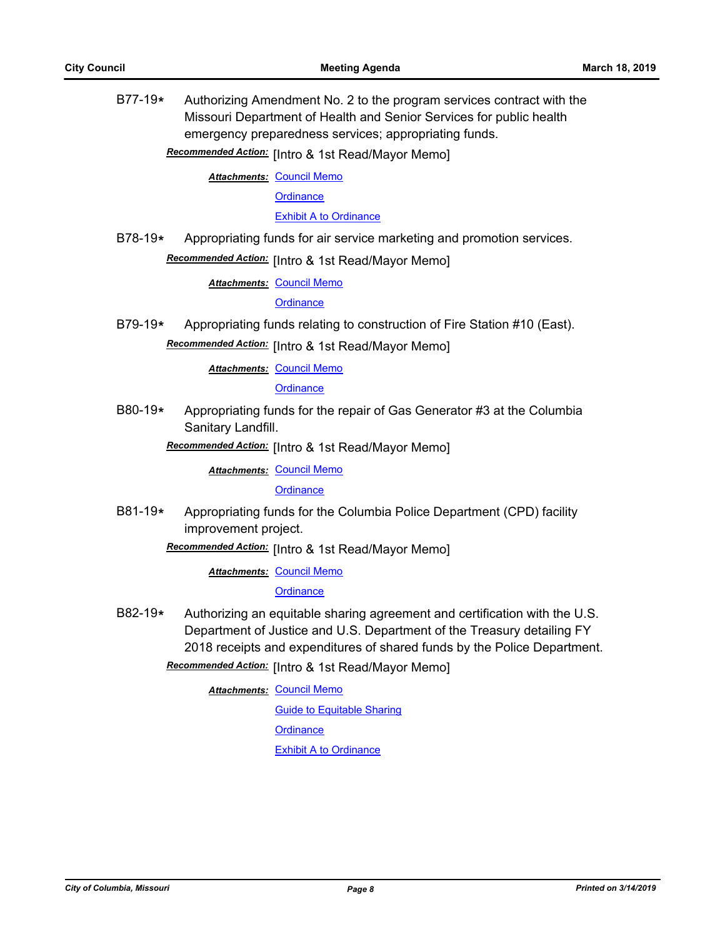B77-19**\*** Authorizing Amendment No. 2 to the program services contract with the Missouri Department of Health and Senior Services for public health emergency preparedness services; appropriating funds.

Recommended Action: [Intro & 1st Read/Mayor Memo]

**Attachments: [Council Memo](http://gocolumbiamo.legistar.com/gateway.aspx?M=F&ID=9b4d2006-7492-471b-a3d9-9138a4141f6d.docx)** 

**[Ordinance](http://gocolumbiamo.legistar.com/gateway.aspx?M=F&ID=ef1127e4-bdbb-4d62-b6b3-adb64c958c61.doc)** 

[Exhibit A to Ordinance](http://gocolumbiamo.legistar.com/gateway.aspx?M=F&ID=b2f1b5a5-9b98-4dc4-b5d0-b814c4a72415.pdf)

B78-19**\*** Appropriating funds for air service marketing and promotion services.

# Recommended Action: [Intro & 1st Read/Mayor Memo]

**Attachments: [Council Memo](http://gocolumbiamo.legistar.com/gateway.aspx?M=F&ID=17c26010-8476-4431-8a70-40b73ecc13fd.docx)** 

**[Ordinance](http://gocolumbiamo.legistar.com/gateway.aspx?M=F&ID=3609b99b-265b-4009-a91b-a58cd150f7d5.doc)** 

B79-19**\*** Appropriating funds relating to construction of Fire Station #10 (East).

**Recommended Action:** [Intro & 1st Read/Mayor Memo]

**Attachments: [Council Memo](http://gocolumbiamo.legistar.com/gateway.aspx?M=F&ID=bb11e850-c74f-46f4-a022-5a89766dad15.docx)** 

**[Ordinance](http://gocolumbiamo.legistar.com/gateway.aspx?M=F&ID=8ab476a7-0604-46f2-9856-9494780a752d.doc)** 

B80-19**\*** Appropriating funds for the repair of Gas Generator #3 at the Columbia Sanitary Landfill.

**Recommended Action:** [Intro & 1st Read/Mayor Memo]

**Attachments: [Council Memo](http://gocolumbiamo.legistar.com/gateway.aspx?M=F&ID=283d25fd-2d3d-41af-8e9d-c18fa26272c3.docx)** 

**[Ordinance](http://gocolumbiamo.legistar.com/gateway.aspx?M=F&ID=cedf2dea-1594-4319-a70c-924eb2a88a26.doc)** 

B81-19**\*** Appropriating funds for the Columbia Police Department (CPD) facility improvement project.

Recommended Action: [Intro & 1st Read/Mayor Memo]

**Attachments: [Council Memo](http://gocolumbiamo.legistar.com/gateway.aspx?M=F&ID=541e48b5-116f-48f2-9f29-11e450e9de75.docx)** 

# **[Ordinance](http://gocolumbiamo.legistar.com/gateway.aspx?M=F&ID=4a41fb95-d5bc-46c0-9b2f-54a11e71da1b.doc)**

B82-19**\*** Authorizing an equitable sharing agreement and certification with the U.S. Department of Justice and U.S. Department of the Treasury detailing FY 2018 receipts and expenditures of shared funds by the Police Department.

**Recommended Action:** [Intro & 1st Read/Mayor Memo]

**Attachments: [Council Memo](http://gocolumbiamo.legistar.com/gateway.aspx?M=F&ID=08f5aa6a-048a-4ce1-9e78-04f61945b0aa.docx)** 

[Guide to Equitable Sharing](http://gocolumbiamo.legistar.com/gateway.aspx?M=F&ID=c7c83b44-87b2-4125-9223-37682d2cb8e1.pdf) **[Ordinance](http://gocolumbiamo.legistar.com/gateway.aspx?M=F&ID=5ed42f30-21fb-4594-b6cd-5c8c6c387219.doc)** [Exhibit A to Ordinance](http://gocolumbiamo.legistar.com/gateway.aspx?M=F&ID=c8780536-f625-4bae-b23f-fba7524a660a.pdf)